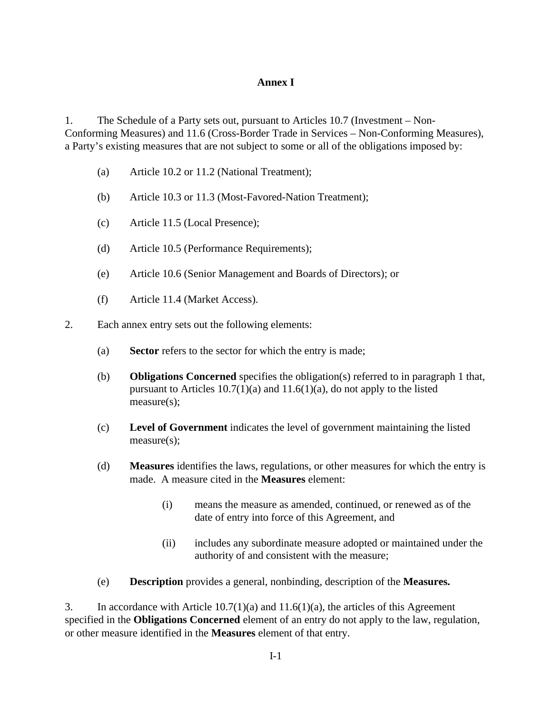## **Annex I**

1. The Schedule of a Party sets out, pursuant to Articles 10.7 (Investment – Non-Conforming Measures) and 11.6 (Cross-Border Trade in Services – Non-Conforming Measures), a Party's existing measures that are not subject to some or all of the obligations imposed by:

- (a) Article 10.2 or 11.2 (National Treatment);
- (b) Article 10.3 or 11.3 (Most-Favored-Nation Treatment);
- (c) Article 11.5 (Local Presence);
- (d) Article 10.5 (Performance Requirements);
- (e) Article 10.6 (Senior Management and Boards of Directors); or
- (f) Article 11.4 (Market Access).
- 2. Each annex entry sets out the following elements:
	- (a) **Sector** refers to the sector for which the entry is made;
	- (b) **Obligations Concerned** specifies the obligation(s) referred to in paragraph 1 that, pursuant to Articles  $10.7(1)(a)$  and  $11.6(1)(a)$ , do not apply to the listed measure(s);
	- (c) **Level of Government** indicates the level of government maintaining the listed measure(s);
	- (d) **Measures** identifies the laws, regulations, or other measures for which the entry is made. A measure cited in the **Measures** element:
		- (i) means the measure as amended, continued, or renewed as of the date of entry into force of this Agreement, and
		- (ii) includes any subordinate measure adopted or maintained under the authority of and consistent with the measure;
	- (e) **Description** provides a general, nonbinding, description of the **Measures.**

3. In accordance with Article 10.7(1)(a) and 11.6(1)(a), the articles of this Agreement specified in the **Obligations Concerned** element of an entry do not apply to the law, regulation, or other measure identified in the **Measures** element of that entry.